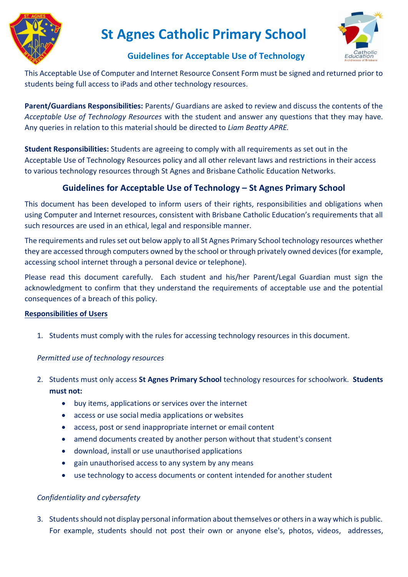

# **St Agnes Catholic Primary School**



# **Guidelines for Acceptable Use of Technology**

This Acceptable Use of Computer and Internet Resource Consent Form must be signed and returned prior to students being full access to iPads and other technology resources.

**Parent/Guardians Responsibilities:** Parents/ Guardians are asked to review and discuss the contents of the *Acceptable Use of Technology Resources* with the student and answer any questions that they may have. Any queries in relation to this material should be directed to *Liam Beatty APRE.*

**Student Responsibilities:** Students are agreeing to comply with all requirements as set out in the Acceptable Use of Technology Resources policy and all other relevant laws and restrictions in their access to various technology resources through St Agnes and Brisbane Catholic Education Networks.

# **Guidelines for Acceptable Use of Technology – St Agnes Primary School**

This document has been developed to inform users of their rights, responsibilities and obligations when using Computer and Internet resources, consistent with Brisbane Catholic Education's requirements that all such resources are used in an ethical, legal and responsible manner.

The requirements and rules set out below apply to all St Agnes Primary School technology resources whether they are accessed through computers owned by the school or through privately owned devices (for example, accessing school internet through a personal device or telephone).

Please read this document carefully. Each student and his/her Parent/Legal Guardian must sign the acknowledgment to confirm that they understand the requirements of acceptable use and the potential consequences of a breach of this policy.

### **Responsibilities of Users**

1. Students must comply with the rules for accessing technology resources in this document.

## *Permitted use of technology resources*

- 2. Students must only access **St Agnes Primary School** technology resources for schoolwork. **Students must not:**
	- buy items, applications or services over the internet
	- access or use social media applications or websites
	- access, post or send inappropriate internet or email content
	- amend documents created by another person without that student's consent
	- download, install or use unauthorised applications
	- gain unauthorised access to any system by any means
	- use technology to access documents or content intended for another student

# *Confidentiality and cybersafety*

3. Students should not display personal information about themselves or others in a way which is public. For example, students should not post their own or anyone else's, photos, videos, addresses,